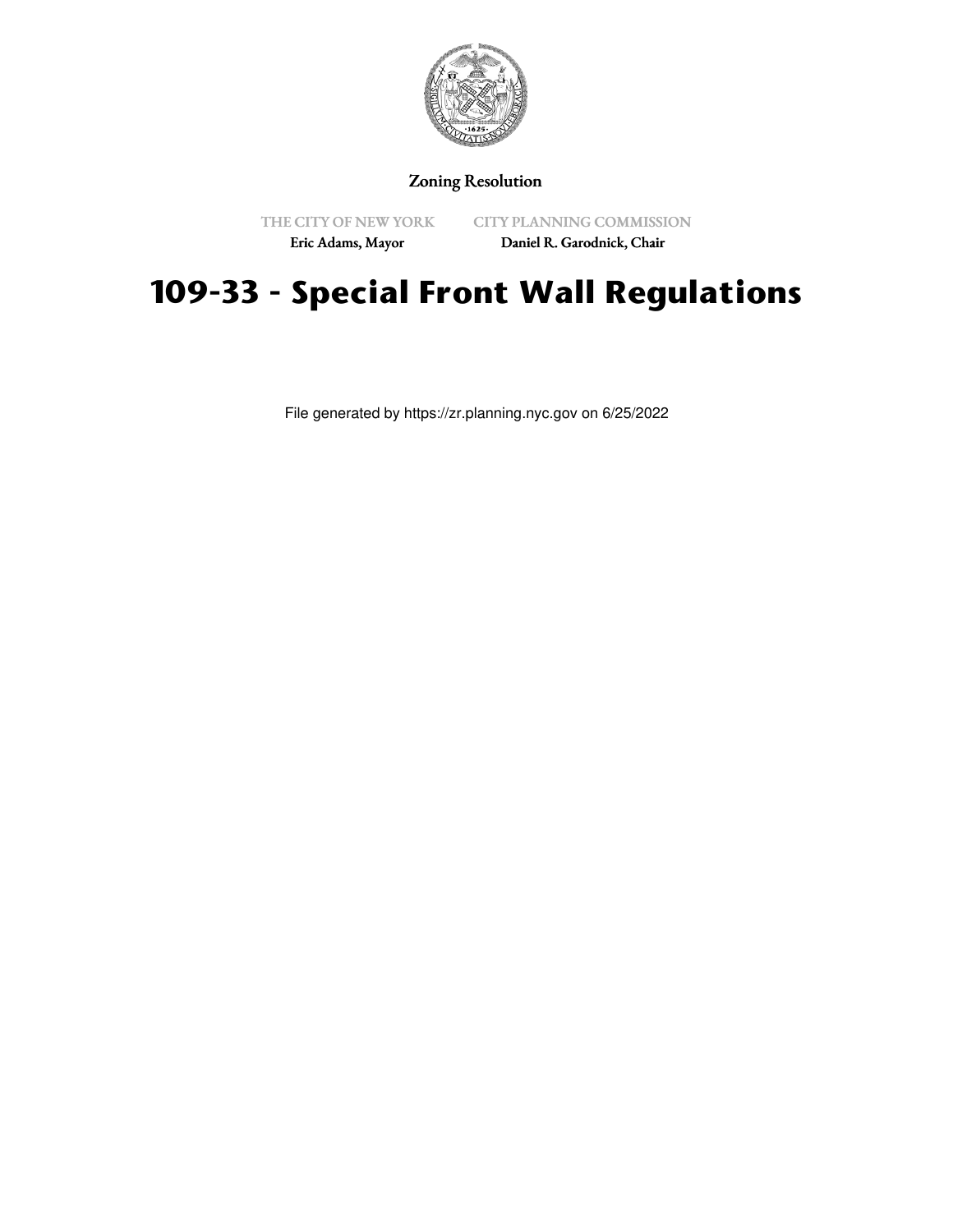

### Zoning Resolution

THE CITY OF NEW YORK

CITY PLANNING COMMISSION

Eric Adams, Mayor

## Daniel R. Garodnick, Chair

# **109-33 - Special Front Wall Regulations**

File generated by https://zr.planning.nyc.gov on 6/25/2022